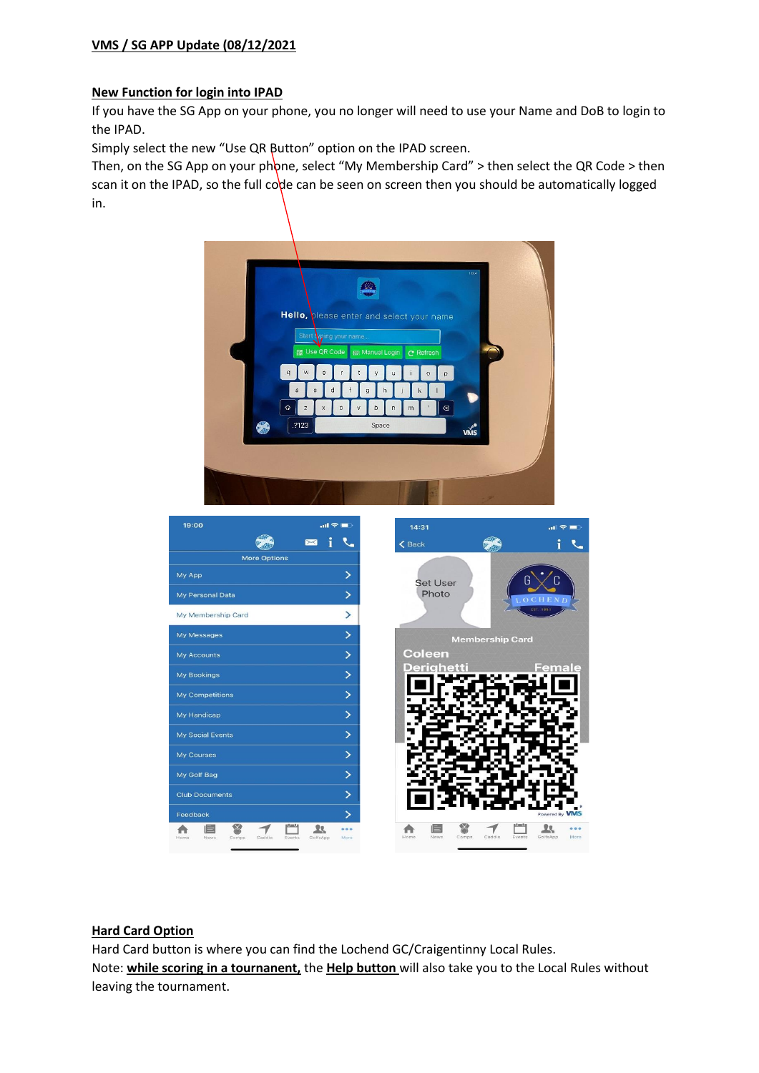# **VMS / SG APP Update (08/12/2021**

# **New Function for login into IPAD**

If you have the SG App on your phone, you no longer will need to use your Name and DoB to login to the IPAD.

Simply select the new "Use QR Button" option on the IPAD screen.

Then, on the SG App on your phone, select "My Membership Card" > then select the QR Code > then scan it on the IPAD, so the full code can be seen on screen then you should be automatically logged in.



## **Hard Card Option**

Hard Card button is where you can find the Lochend GC/Craigentinny Local Rules. Note: **while scoring in a tournanent,** the **Help button** will also take you to the Local Rules without leaving the tournament.